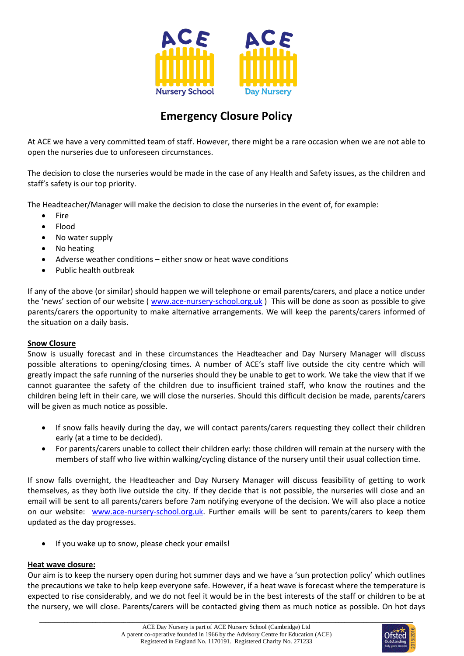

## **Emergency Closure Policy**

At ACE we have a very committed team of staff. However, there might be a rare occasion when we are not able to open the nurseries due to unforeseen circumstances.

The decision to close the nurseries would be made in the case of any Health and Safety issues, as the children and staff's safety is our top priority.

The Headteacher/Manager will make the decision to close the nurseries in the event of, for example:

- Fire
- Flood
- No water supply
- No heating
- Adverse weather conditions either snow or heat wave conditions
- Public health outbreak

If any of the above (or similar) should happen we will telephone or email parents/carers, and place a notice under the 'news' section of our website ( [www.ace-nursery-school.org.uk](http://www.ace-nursery-school.org.uk/) ) This will be done as soon as possible to give parents/carers the opportunity to make alternative arrangements. We will keep the parents/carers informed of the situation on a daily basis.

## **Snow Closure**

Snow is usually forecast and in these circumstances the Headteacher and Day Nursery Manager will discuss possible alterations to opening/closing times. A number of ACE's staff live outside the city centre which will greatly impact the safe running of the nurseries should they be unable to get to work. We take the view that if we cannot guarantee the safety of the children due to insufficient trained staff, who know the routines and the children being left in their care, we will close the nurseries. Should this difficult decision be made, parents/carers will be given as much notice as possible.

- If snow falls heavily during the day, we will contact parents/carers requesting they collect their children early (at a time to be decided).
- For parents/carers unable to collect their children early: those children will remain at the nursery with the members of staff who live within walking/cycling distance of the nursery until their usual collection time.

If snow falls overnight, the Headteacher and Day Nursery Manager will discuss feasibility of getting to work themselves, as they both live outside the city. If they decide that is not possible, the nurseries will close and an email will be sent to all parents/carers before 7am notifying everyone of the decision. We will also place a notice on our website: [www.ace-nursery-school.org.uk.](http://www.ace-nursery-school.org.uk/) Further emails will be sent to parents/carers to keep them updated as the day progresses.

If you wake up to snow, please check your emails!

## **Heat wave closure:**

Our aim is to keep the nursery open during hot summer days and we have a 'sun protection policy' which outlines the precautions we take to help keep everyone safe. However, if a heat wave is forecast where the temperature is expected to rise considerably, and we do not feel it would be in the best interests of the staff or children to be at the nursery, we will close. Parents/carers will be contacted giving them as much notice as possible. On hot days